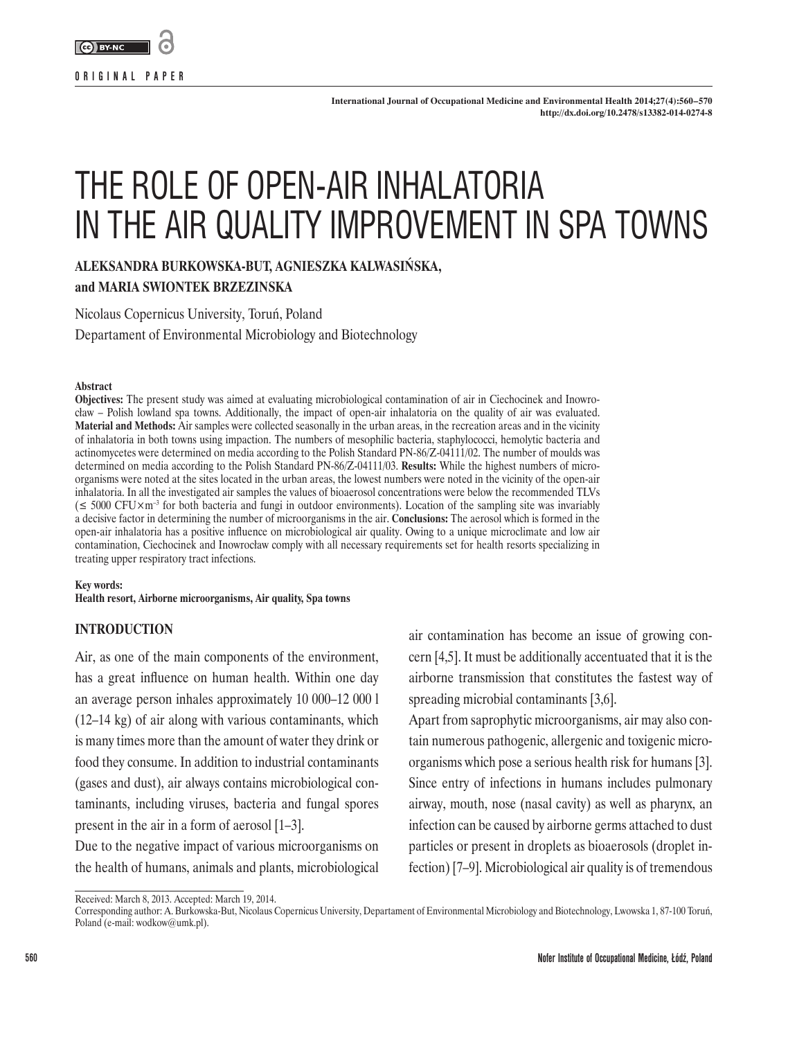

**ORIGINAL PAPER**

# THE ROLE OF OPEN-AIR INHALATORIA IN THE AIR QUALITY IMPROVEMENT IN SPA TOWNS

**ALEKSANDRA BURKOWSKA-BUT, AGNIESZKA KALWASIŃSKA,** 

## **and MARIA SWIONTEK BRZEZINSKA**

Nicolaus Copernicus University, Toruń, Poland

Departament of Environmental Microbiology and Biotechnology

#### **Abstract**

**Objectives:** The present study was aimed at evaluating microbiological contamination of air in Ciechocinek and Inowrocław – Polish lowland spa towns. Additionally, the impact of open-air inhalatoria on the quality of air was evaluated. **Material and Methods:** Air samples were collected seasonally in the urban areas, in the recreation areas and in the vicinity of inhalatoria in both towns using impaction. The numbers of mesophilic bacteria, staphylococci, hemolytic bacteria and actinomycetes were determined on media according to the Polish Standard PN-86/Z-04111/02. The number of moulds was determined on media according to the Polish Standard PN-86/Z-04111/03. **Results:** While the highest numbers of microorganisms were noted at the sites located in the urban areas, the lowest numbers were noted in the vicinity of the open-air inhalatoria. In all the investigated air samples the values of bioaerosol concentrations were below the recommended TLVs  $(\leq 5000 \text{ CFU} \times \text{m}^{-3}$  for both bacteria and fungi in outdoor environments). Location of the sampling site was invariably a decisive factor in determining the number of microorganisms in the air. **Conclusions:** The aerosol which is formed in the open-air inhalatoria has a positive influence on microbiological air quality. Owing to a unique microclimate and low air contamination, Ciechocinek and Inowrocław comply with all necessary requirements set for health resorts specializing in treating upper respiratory tract infections.

**Key words:**

**Health resort, Airborne microorganisms, Air quality, Spa towns**

#### **INTRODUCTION**

Air, as one of the main components of the environment, has a great influence on human health. Within one day an average person inhales approximately 10 000–12 000 l (12–14 kg) of air along with various contaminants, which is many times more than the amount of water they drink or food they consume. In addition to industrial contaminants (gases and dust), air always contains microbiological contaminants, including viruses, bacteria and fungal spores present in the air in a form of aerosol [1–3].

Due to the negative impact of various microorganisms on the health of humans, animals and plants, microbiological

air contamination has become an issue of growing concern [4,5]. It must be additionally accentuated that it is the airborne transmission that constitutes the fastest way of spreading microbial contaminants [3,6].

Apart from saprophytic microorganisms, air may also contain numerous pathogenic, allergenic and toxigenic microorganisms which pose a serious health risk for humans [3]. Since entry of infections in humans includes pulmonary airway, mouth, nose (nasal cavity) as well as pharynx, an infection can be caused by airborne germs attached to dust particles or present in droplets as bioaerosols (droplet infection) [7–9]. Microbiological air quality is of tremendous

Received: March 8, 2013. Accepted: March 19, 2014.

Corresponding author: A. Burkowska-But, Nicolaus Copernicus University, Departament of Environmental Microbiology and Biotechnology, Lwowska 1, 87-100 Toruń, Poland (e-mail: wodkow@umk.pl).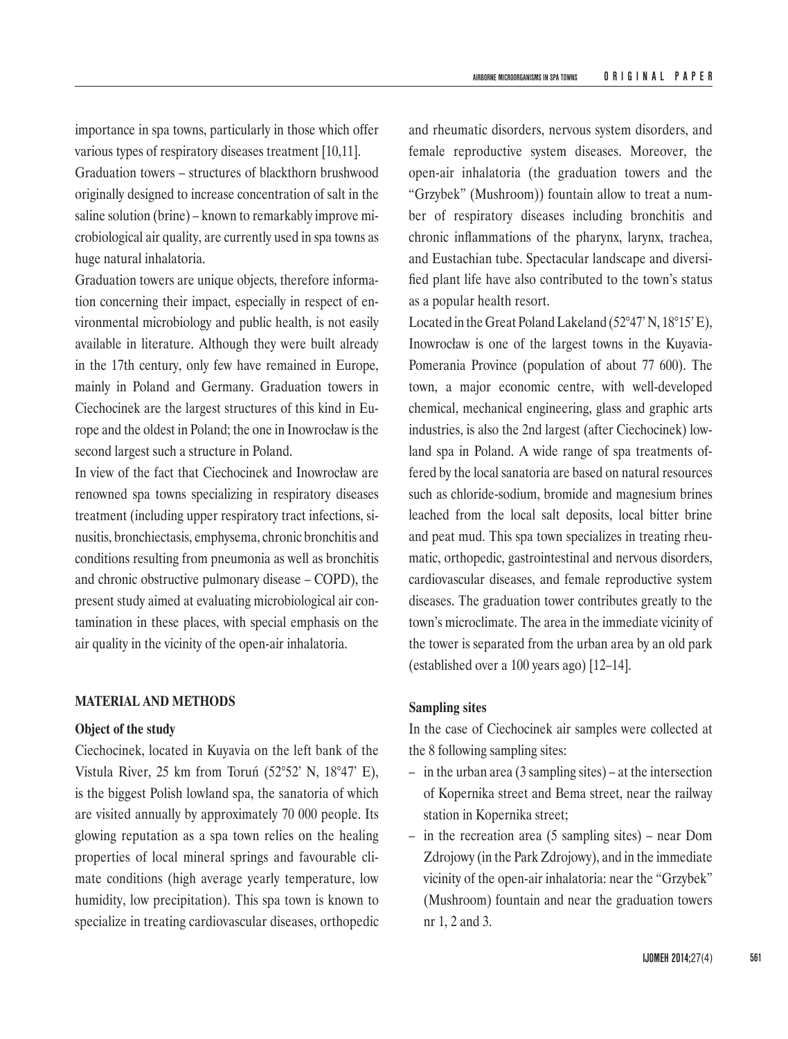importance in spa towns, particularly in those which offer various types of respiratory diseases treatment [10,11]. Graduation towers – structures of blackthorn brushwood originally designed to increase concentration of salt in the saline solution (brine) – known to remarkably improve microbiological air quality, are currently used in spa towns as huge natural inhalatoria.

Graduation towers are unique objects, therefore information concerning their impact, especially in respect of environmental microbiology and public health, is not easily available in literature. Although they were built already in the 17th century, only few have remained in Europe, mainly in Poland and Germany. Graduation towers in Ciechocinek are the largest structures of this kind in Europe and the oldest in Poland; the one in Inowrocław is the second largest such a structure in Poland.

In view of the fact that Ciechocinek and Inowrocław are renowned spa towns specializing in respiratory diseases treatment (including upper respiratory tract infections, sinusitis, bronchiectasis, emphysema, chronic bronchitis and conditions resulting from pneumonia as well as bronchitis and chronic obstructive pulmonary disease – COPD), the present study aimed at evaluating microbiological air contamination in these places, with special emphasis on the air quality in the vicinity of the open-air inhalatoria.

## **MATERIAL AND METHODS**

## **Object of the study**

Ciechocinek, located in Kuyavia on the left bank of the Vistula River, 25 km from Toruń (52°52' N, 18°47' E), is the biggest Polish lowland spa, the sanatoria of which are visited annually by approximately 70 000 people. Its glowing reputation as a spa town relies on the healing properties of local mineral springs and favourable climate conditions (high average yearly temperature, low humidity, low precipitation). This spa town is known to specialize in treating cardiovascular diseases, orthopedic

and rheumatic disorders, nervous system disorders, and female reproductive system diseases. Moreover, the open-air inhalatoria (the graduation towers and the "Grzybek" (Mushroom)) fountain allow to treat a number of respiratory diseases including bronchitis and chronic inflammations of the pharynx, larynx, trachea, and Eustachian tube. Spectacular landscape and diversified plant life have also contributed to the town's status as a popular health resort.

Located in the Great Poland Lakeland (52°47' N, 18°15'E), Inowrocław is one of the largest towns in the Kuyavia-Pomerania Province (population of about 77 600). The town, a major economic centre, with well-developed chemical, mechanical engineering, glass and graphic arts industries, is also the 2nd largest (after Ciechocinek) lowland spa in Poland. A wide range of spa treatments offered by the local sanatoria are based on natural resources such as chloride-sodium, bromide and magnesium brines leached from the local salt deposits, local bitter brine and peat mud. This spa town specializes in treating rheumatic, orthopedic, gastrointestinal and nervous disorders, cardiovascular diseases, and female reproductive system diseases. The graduation tower contributes greatly to the town's microclimate. The area in the immediate vicinity of the tower is separated from the urban area by an old park (established over a 100 years ago) [12–14].

# **Sampling sites**

In the case of Ciechocinek air samples were collected at the 8 following sampling sites:

- in the urban area (3 sampling sites) at the intersection of Kopernika street and Bema street, near the railway station in Kopernika street;
- in the recreation area (5 sampling sites) near Dom Zdrojowy (in the Park Zdrojowy), and in the immediate vicinity of the open-air inhalatoria: near the "Grzybek" (Mushroom) fountain and near the graduation towers nr 1, 2 and 3.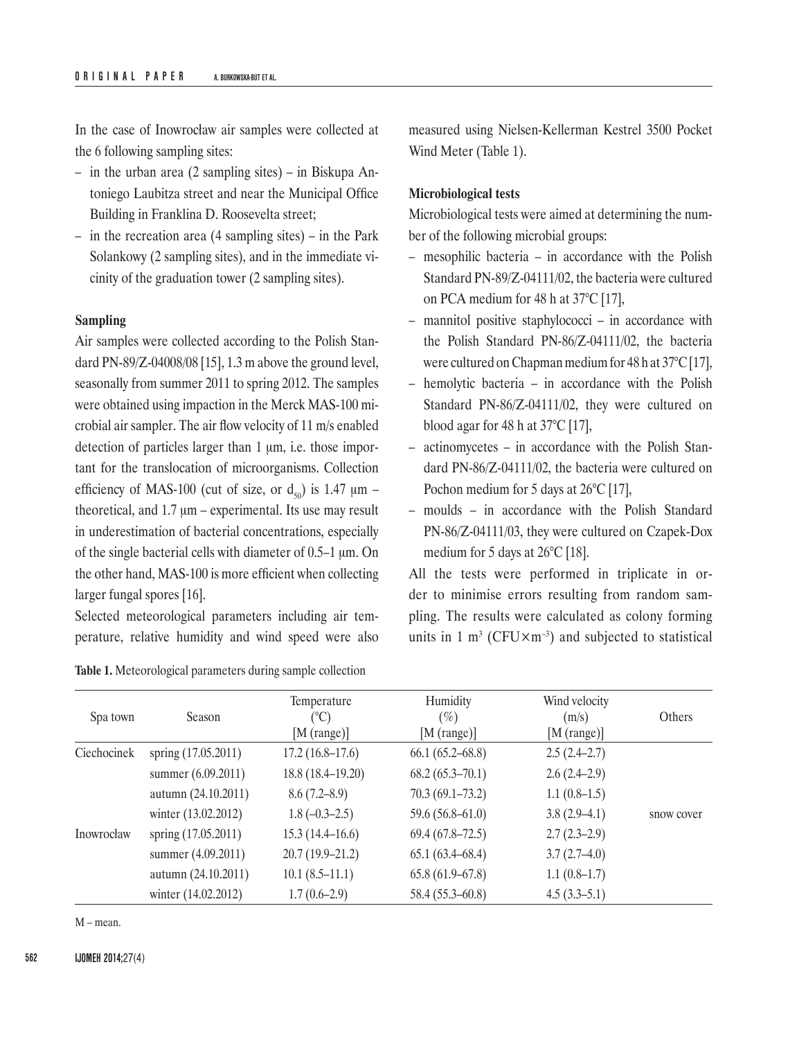In the case of Inowrocław air samples were collected at the 6 following sampling sites:

- in the urban area (2 sampling sites) in Biskupa Antoniego Laubitza street and near the Municipal Office Building in Franklina D. Roosevelta street;
- in the recreation area (4 sampling sites) in the Park Solankowy (2 sampling sites), and in the immediate vicinity of the graduation tower (2 sampling sites).

# **Sampling**

Air samples were collected according to the Polish Standard PN-89/Z-04008/08 [15], 1.3 m above the ground level, seasonally from summer 2011 to spring 2012. The samples were obtained using impaction in the Merck MAS-100 microbial air sampler. The air flow velocity of 11 m/s enabled detection of particles larger than 1 μm, i.e. those important for the translocation of microorganisms. Collection efficiency of MAS-100 (cut of size, or  $d_{so}$ ) is 1.47  $\mu$ m – theoretical, and  $1.7 \mu m$  – experimental. Its use may result in underestimation of bacterial concentrations, especially of the single bacterial cells with diameter of 0.5–1 μm. On the other hand, MAS-100 is more efficient when collecting larger fungal spores [16].

Selected meteorological parameters including air temperature, relative humidity and wind speed were also

| <b>Table 1.</b> Meteorological parameters during sample collection |  |  |
|--------------------------------------------------------------------|--|--|
|--------------------------------------------------------------------|--|--|

measured using Nielsen-Kellerman Kestrel 3500 Pocket Wind Meter (Table 1).

#### **Microbiological tests**

Microbiological tests were aimed at determining the number of the following microbial groups:

- mesophilic bacteria in accordance with the Polish Standard PN-89/Z-04111/02, the bacteria were cultured on PCA medium for 48 h at 37°C [17],
- mannitol positive staphylococci in accordance with the Polish Standard PN-86/Z-04111/02, the bacteria were cultured on Chapman medium for 48 h at 37°C [17],
- hemolytic bacteria in accordance with the Polish Standard PN-86/Z-04111/02, they were cultured on blood agar for 48 h at 37°C [17],
- actinomycetes in accordance with the Polish Standard PN-86/Z-04111/02, the bacteria were cultured on Pochon medium for 5 days at 26<sup>o</sup>C [17],
- moulds in accordance with the Polish Standard PN‑86/Z-04111/03, they were cultured on Czapek-Dox medium for 5 days at 26°C [18].

All the tests were performed in triplicate in order to minimise errors resulting from random sampling. The results were calculated as colony forming units in 1 m<sup>3</sup> (CFU $\times$ m<sup>-3</sup>) and subjected to statistical

| Spa town    | Season              | Temperature<br>$(^\circ C)$<br>[M (range)] | Humidity<br>$(\%)$<br>[M (range)] | Wind velocity<br>(m/s)<br>[M (range)] | Others     |
|-------------|---------------------|--------------------------------------------|-----------------------------------|---------------------------------------|------------|
| Ciechocinek | spring (17.05.2011) | $17.2(16.8-17.6)$                          | $66.1(65.2 - 68.8)$               | $2.5(2.4-2.7)$                        |            |
|             | summer (6.09.2011)  | 18.8 (18.4–19.20)                          | $68.2(65.3 - 70.1)$               | $2.6(2.4-2.9)$                        |            |
|             | autumn (24.10.2011) | 8.6(7.2–8.9)                               | $70.3(69.1-73.2)$                 | $1.1(0.8-1.5)$                        |            |
|             | winter (13.02.2012) | $1.8(-0.3-2.5)$                            | $59.6(56.8-61.0)$                 | $3.8(2.9-4.1)$                        | snow cover |
| Inowrocław  | spring (17.05.2011) | $15.3(14.4 - 16.6)$                        | $69.4(67.8-72.5)$                 | $2.7(2.3-2.9)$                        |            |
|             | summer (4.09.2011)  | $20.7(19.9-21.2)$                          | $65.1(63.4 - 68.4)$               | $3.7(2.7-4.0)$                        |            |
|             | autumn (24.10.2011) | $10.1(8.5-11.1)$                           | $65.8(61.9-67.8)$                 | $1.1(0.8-1.7)$                        |            |
|             | winter (14.02.2012) | $1.7(0.6-2.9)$                             | $58.4(55.3-60.8)$                 | $4.5(3.3-5.1)$                        |            |

M – mean.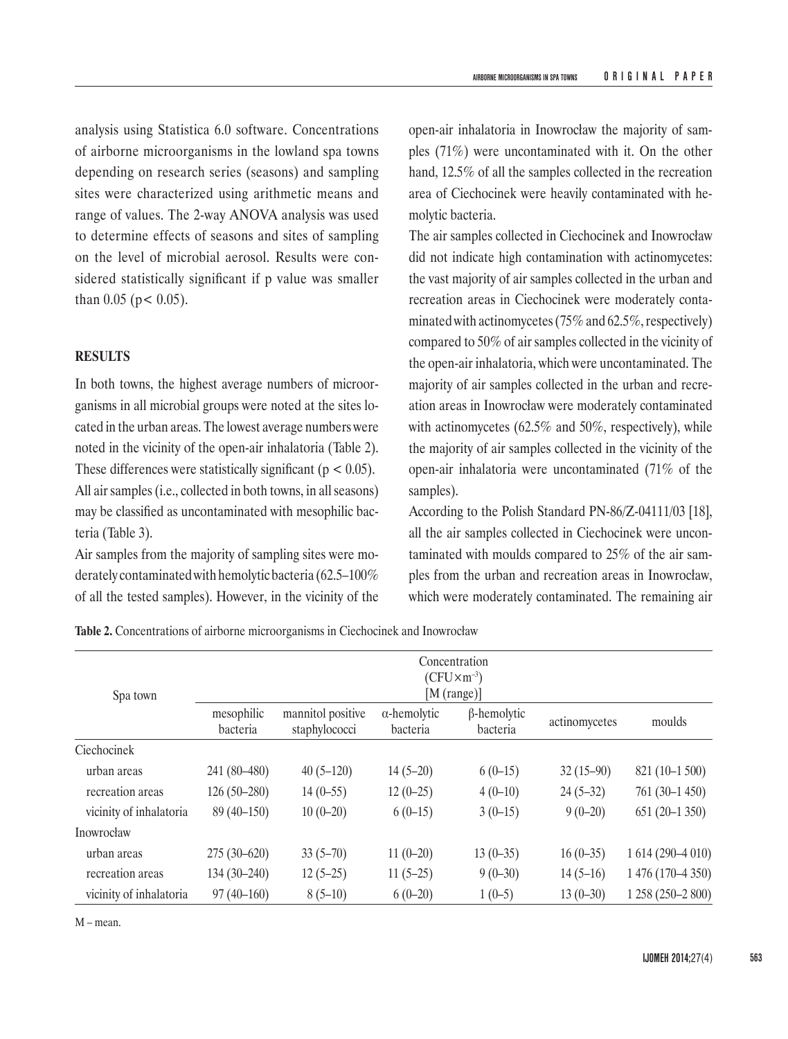analysis using Statistica 6.0 software. Concentrations of airborne microorganisms in the lowland spa towns depending on research series (seasons) and sampling sites were characterized using arithmetic means and range of values. The 2-way ANOVA analysis was used to determine effects of seasons and sites of sampling on the level of microbial aerosol. Results were considered statistically significant if p value was smaller than  $0.05$  (p < 0.05).

# **RESULTS**

In both towns, the highest average numbers of microorganisms in all microbial groups were noted at the sites located in the urban areas. The lowest average numbers were noted in the vicinity of the open-air inhalatoria (Table 2). These differences were statistically significant ( $p < 0.05$ ). All air samples (i.e., collected in both towns, in all seasons) may be classified as uncontaminated with mesophilic bacteria (Table 3).

Air samples from the majority of sampling sites were moderately contaminated with hemolytic bacteria (62.5–100% of all the tested samples). However, in the vicinity of the open-air inhalatoria in Inowrocław the majority of samples (71%) were uncontaminated with it. On the other hand, 12.5% of all the samples collected in the recreation area of Ciechocinek were heavily contaminated with hemolytic bacteria.

The air samples collected in Ciechocinek and Inowrocław did not indicate high contamination with actinomycetes: the vast majority of air samples collected in the urban and recreation areas in Ciechocinek were moderately contaminated with actinomycetes (75% and 62.5%, respectively) compared to 50% of air samples collected in the vicinity of the open-air inhalatoria, which were uncontaminated. The majority of air samples collected in the urban and recreation areas in Inowrocław were moderately contaminated with actinomycetes (62.5% and 50%, respectively), while the majority of air samples collected in the vicinity of the open-air inhalatoria were uncontaminated (71% of the samples).

According to the Polish Standard PN-86/Z-04111/03 [18], all the air samples collected in Ciechocinek were uncontaminated with moulds compared to 25% of the air samples from the urban and recreation areas in Inowrocław, which were moderately contaminated. The remaining air

**Table 2.** Concentrations of airborne microorganisms in Ciechocinek and Inowrocław

| Spa town                | Concentration<br>$(CFU\times m^{-3})$<br>[M (range)] |                                    |                                 |                                |               |                   |  |  |
|-------------------------|------------------------------------------------------|------------------------------------|---------------------------------|--------------------------------|---------------|-------------------|--|--|
|                         | mesophilic<br>bacteria                               | mannitol positive<br>staphylococci | $\alpha$ -hemolytic<br>bacteria | $\beta$ -hemolytic<br>bacteria | actinomycetes | moulds            |  |  |
| Ciechocinek             |                                                      |                                    |                                 |                                |               |                   |  |  |
| urban areas             | 241 (80-480)                                         | $40(5-120)$                        | $14(5-20)$                      | $6(0-15)$                      | $32(15-90)$   | $821(10-1500)$    |  |  |
| recreation areas        | $126(50-280)$                                        | $14(0-55)$                         | $12(0-25)$                      | $4(0-10)$                      | $24(5-32)$    | $761(30-1450)$    |  |  |
| vicinity of inhalatoria | $89(40-150)$                                         | $10(0-20)$                         | $6(0-15)$                       | $3(0-15)$                      | $9(0-20)$     | $651(20-1350)$    |  |  |
| Inowrocław              |                                                      |                                    |                                 |                                |               |                   |  |  |
| urban areas             | $275(30-620)$                                        | $33(5-70)$                         | $11(0-20)$                      | $13(0-35)$                     | $16(0-35)$    | 1 614 (290-4 010) |  |  |
| recreation areas        | $134(30-240)$                                        | $12(5-25)$                         | $11(5-25)$                      | $9(0-30)$                      | $14(5-16)$    | 1 476 (170-4 350) |  |  |
| vicinity of inhalatoria | $97(40-160)$                                         | $8(5-10)$                          | $6(0-20)$                       | $1(0-5)$                       | $13(0-30)$    | 1 258 (250-2 800) |  |  |

M – mean.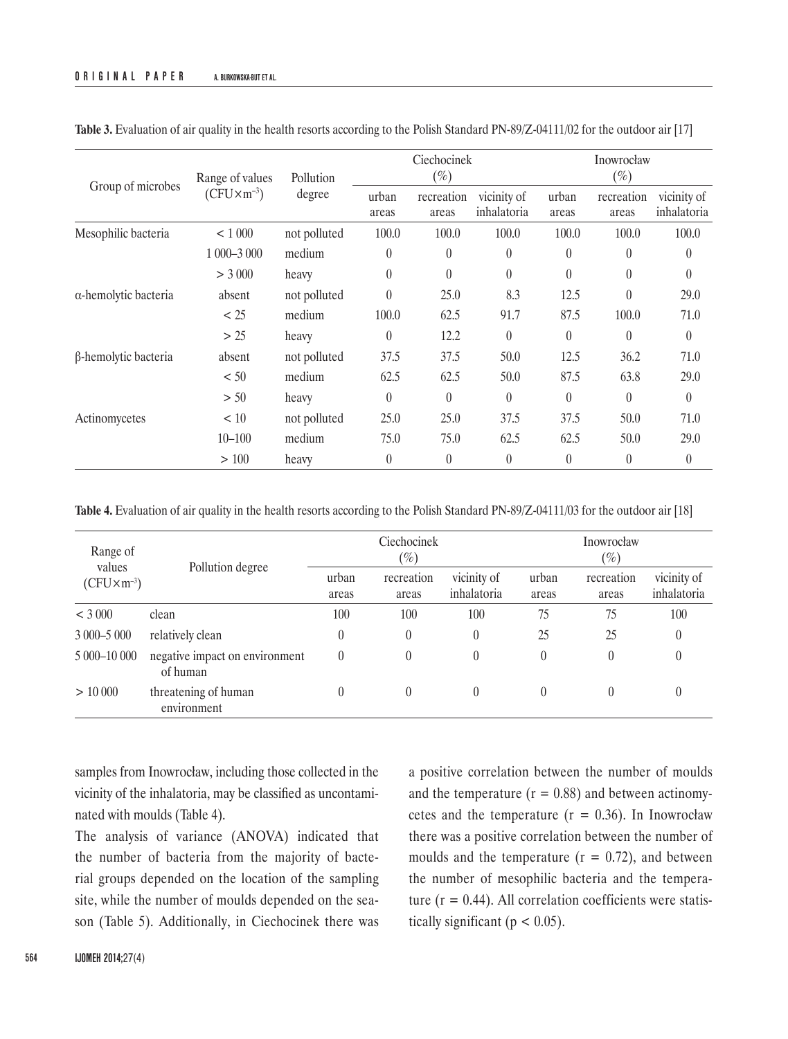|                              | Pollution<br>Range of values |              | Ciechocinek<br>$(\%)$ |                     |                            | Inowrocław<br>$(\%)$ |                     |                            |
|------------------------------|------------------------------|--------------|-----------------------|---------------------|----------------------------|----------------------|---------------------|----------------------------|
| Group of microbes            | $(CFU\times m^{-3})$         | degree       | urban<br>areas        | recreation<br>areas | vicinity of<br>inhalatoria | urban<br>areas       | recreation<br>areas | vicinity of<br>inhalatoria |
| Mesophilic bacteria          | < 1000                       | not polluted | 100.0                 | 100.0               | 100.0                      | 100.0                | 100.0               | 100.0                      |
|                              | 1 000-3 000                  | medium       | $\boldsymbol{0}$      | $\theta$            | $\theta$                   | $\theta$             | $\theta$            | $\theta$                   |
|                              | > 3000                       | heavy        | $\theta$              | $\theta$            | $\theta$                   | $\theta$             | $\theta$            | $\theta$                   |
| $\alpha$ -hemolytic bacteria | absent                       | not polluted | $\boldsymbol{0}$      | 25.0                | 8.3                        | 12.5                 | $\theta$            | 29.0                       |
|                              | < 25                         | medium       | 100.0                 | 62.5                | 91.7                       | 87.5                 | 100.0               | 71.0                       |
|                              | > 25                         | heavy        | $\theta$              | 12.2                | $\theta$                   | $\theta$             | $\theta$            | $\theta$                   |
| β-hemolytic bacteria         | absent                       | not polluted | 37.5                  | 37.5                | 50.0                       | 12.5                 | 36.2                | 71.0                       |
|                              | < 50                         | medium       | 62.5                  | 62.5                | 50.0                       | 87.5                 | 63.8                | 29.0                       |
|                              | > 50                         | heavy        | $\theta$              | $\theta$            | $\theta$                   | $\theta$             | $\theta$            | $\theta$                   |
| Actinomycetes                | < 10                         | not polluted | 25.0                  | 25.0                | 37.5                       | 37.5                 | 50.0                | 71.0                       |
|                              | $10 - 100$                   | medium       | 75.0                  | 75.0                | 62.5                       | 62.5                 | 50.0                | 29.0                       |
|                              | > 100                        | heavy        | $\boldsymbol{0}$      | $\theta$            | $\theta$                   | $\theta$             | $\theta$            | $\theta$                   |

**Table 3.** Evaluation of air quality in the health resorts according to the Polish Standard PN-89/Z-04111/02 for the outdoor air [17]

**Table 4.** Evaluation of air quality in the health resorts according to the Polish Standard PN-89/Z-04111/03 for the outdoor air [18]

| Range of<br>values<br>$(CFU\times m^{-3})$ | Pollution degree                           |                | Ciechocinek<br>$(\%)$ |                            | Inowrocław<br>$(\%)$ |                     |                            |
|--------------------------------------------|--------------------------------------------|----------------|-----------------------|----------------------------|----------------------|---------------------|----------------------------|
|                                            |                                            | urban<br>areas | recreation<br>areas   | vicinity of<br>inhalatoria | urban<br>areas       | recreation<br>areas | vicinity of<br>inhalatoria |
| < 3000                                     | clean                                      | 100            | 100                   | 100                        | 75                   | 75                  | 100                        |
| $3000 - 5000$                              | relatively clean                           | $\theta$       | 0                     | $\theta$                   | 25                   | 25                  | $\theta$                   |
| 5 000-10 000                               | negative impact on environment<br>of human | $\theta$       | 0                     | $\theta$                   | $\theta$             | $\left( \right)$    |                            |
| > 10000                                    | threatening of human<br>environment        | $\theta$       | 0                     | $\theta$                   | 0                    | $\left( \right)$    |                            |

samples from Inowrocław, including those collected in the vicinity of the inhalatoria, may be classified as uncontaminated with moulds (Table 4).

The analysis of variance (ANOVA) indicated that the number of bacteria from the majority of bacterial groups depended on the location of the sampling site, while the number of moulds depended on the season (Table 5). Additionally, in Ciechocinek there was a positive correlation between the number of moulds and the temperature  $(r = 0.88)$  and between actinomycetes and the temperature  $(r = 0.36)$ . In Inowrocław there was a positive correlation between the number of moulds and the temperature  $(r = 0.72)$ , and between the number of mesophilic bacteria and the temperature  $(r = 0.44)$ . All correlation coefficients were statistically significant ( $p < 0.05$ ).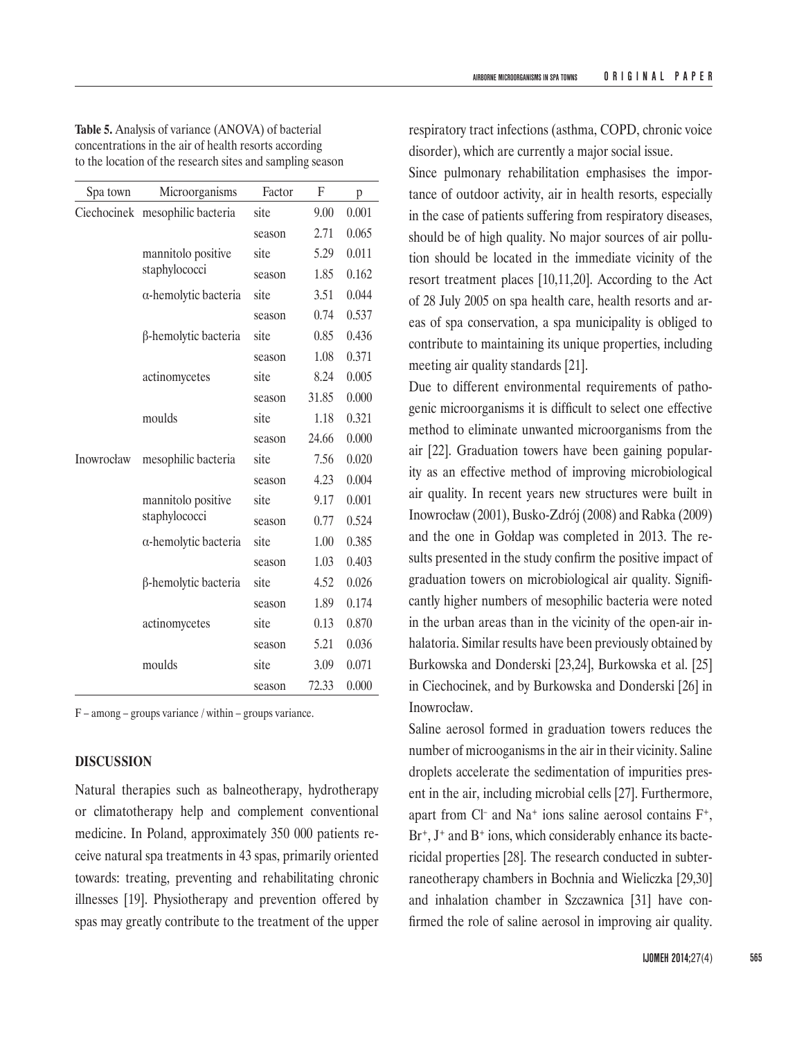**Table 5.** Analysis of variance (ANOVA) of bacterial concentrations in the air of health resorts according to the location of the research sites and sampling season

| Spa town   | Microorganisms                      | Factor | F     | p     |
|------------|-------------------------------------|--------|-------|-------|
|            | Ciechocinek mesophilic bacteria     | site   | 9.00  | 0.001 |
|            |                                     | season | 2.71  | 0.065 |
|            | mannitolo positive<br>staphylococci | site   | 5.29  | 0.011 |
|            |                                     | season | 1.85  | 0.162 |
|            | $\alpha$ -hemolytic bacteria        | site   | 3.51  | 0.044 |
|            |                                     | season | 0.74  | 0.537 |
|            | β-hemolytic bacteria                | site   | 0.85  | 0.436 |
|            |                                     | season | 1.08  | 0.371 |
|            | actinomycetes                       | site   | 8.24  | 0.005 |
|            |                                     | season | 31.85 | 0.000 |
|            | moulds                              | site   | 1.18  | 0.321 |
|            |                                     | season | 24.66 | 0.000 |
| Inowrocław | mesophilic bacteria                 | site   | 7.56  | 0.020 |
|            |                                     | season | 4.23  | 0.004 |
|            | mannitolo positive                  | site   | 9.17  | 0.001 |
|            | staphylococci                       | season | 0.77  | 0.524 |
|            | $\alpha$ -hemolytic bacteria        | site   | 1.00  | 0.385 |
|            |                                     | season | 1.03  | 0.403 |
|            | β-hemolytic bacteria                | site   | 4.52  | 0.026 |
|            |                                     | season | 1.89  | 0.174 |
|            | actinomycetes                       | site   | 0.13  | 0.870 |
|            |                                     | season | 5.21  | 0.036 |
|            | moulds                              | site   | 3.09  | 0.071 |
|            |                                     | season | 72.33 | 0.000 |

F – among – groups variance / within – groups variance.

# **DISCUSSION**

Natural therapies such as balneotherapy, hydrotherapy or climatotherapy help and complement conventional medicine. In Poland, approximately 350 000 patients receive natural spa treatments in 43 spas, primarily oriented towards: treating, preventing and rehabilitating chronic illnesses [19]. Physiotherapy and prevention offered by spas may greatly contribute to the treatment of the upper

respiratory tract infections (asthma, COPD, chronic voice disorder), which are currently a major social issue.

Since pulmonary rehabilitation emphasises the importance of outdoor activity, air in health resorts, especially in the case of patients suffering from respiratory diseases, should be of high quality. No major sources of air pollution should be located in the immediate vicinity of the resort treatment places [10,11,20]. According to the Act of 28 July 2005 on spa health care, health resorts and areas of spa conservation, a spa municipality is obliged to contribute to maintaining its unique properties, including meeting air quality standards [21].

Due to different environmental requirements of pathogenic microorganisms it is difficult to select one effective method to eliminate unwanted microorganisms from the air [22]. Graduation towers have been gaining popularity as an effective method of improving microbiological air quality. In recent years new structures were built in Inowrocław (2001), Busko-Zdrój (2008) and Rabka (2009) and the one in Gołdap was completed in 2013. The results presented in the study confirm the positive impact of graduation towers on microbiological air quality. Significantly higher numbers of mesophilic bacteria were noted in the urban areas than in the vicinity of the open-air inhalatoria. Similar results have been previously obtained by Burkowska and Donderski [23,24], Burkowska et al. [25] in Ciechocinek, and by Burkowska and Donderski [26] in Inowrocław.

Saline aerosol formed in graduation towers reduces the number of microoganisms in the air in their vicinity. Saline droplets accelerate the sedimentation of impurities present in the air, including microbial cells [27]. Furthermore, apart from Cl<sup>-</sup> and Na<sup>+</sup> ions saline aerosol contains  $F^+$ ,  $Br^+$ ,  $J^+$  and  $B^+$  ions, which considerably enhance its bactericidal properties [28]. The research conducted in subterraneotherapy chambers in Bochnia and Wieliczka [29,30] and inhalation chamber in Szczawnica [31] have confirmed the role of saline aerosol in improving air quality.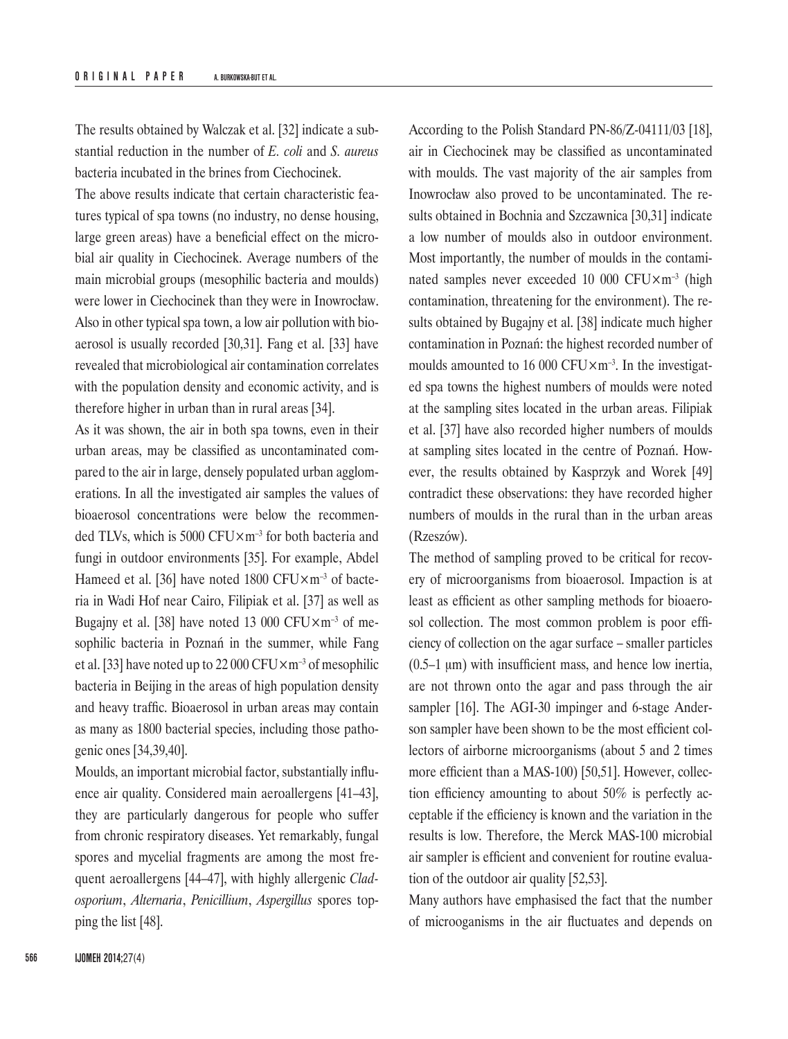The results obtained by Walczak et al. [32] indicate a substantial reduction in the number of *E. coli* and *S. aureus* bacteria incubated in the brines from Ciechocinek.

The above results indicate that certain characteristic features typical of spa towns (no industry, no dense housing, large green areas) have a beneficial effect on the microbial air quality in Ciechocinek. Average numbers of the main microbial groups (mesophilic bacteria and moulds) were lower in Ciechocinek than they were in Inowrocław. Also in other typical spa town, a low air pollution with bioaerosol is usually recorded [30,31]. Fang et al. [33] have revealed that microbiological air contamination correlates with the population density and economic activity, and is therefore higher in urban than in rural areas [34].

As it was shown, the air in both spa towns, even in their urban areas, may be classified as uncontaminated compared to the air in large, densely populated urban agglomerations. In all the investigated air samples the values of bioaerosol concentrations were below the recommended TLVs, which is 5000 CFU×m–3 for both bacteria and fungi in outdoor environments [35]. For example, Abdel Hameed et al. [36] have noted  $1800$  CFU $\times$ m<sup>-3</sup> of bacteria in Wadi Hof near Cairo, Filipiak et al. [37] as well as Bugajny et al. [38] have noted 13 000 CFU $\times$ m<sup>-3</sup> of mesophilic bacteria in Poznań in the summer, while Fang et al. [33] have noted up to 22 000 CFU $\times$ m<sup>-3</sup> of mesophilic bacteria in Beijing in the areas of high population density and heavy traffic. Bioaerosol in urban areas may contain as many as 1800 bacterial species, including those pathogenic ones [34,39,40].

Moulds, an important microbial factor, substantially influence air quality. Considered main aeroallergens [41–43], they are particularly dangerous for people who suffer from chronic respiratory diseases. Yet remarkably, fungal spores and mycelial fragments are among the most frequent aeroallergens [44–47], with highly allergenic *Cladosporium*, *Alternaria*, *Penicillium*, *Aspergillus* spores topping the list [48].

According to the Polish Standard PN-86/Z-04111/03 [18], air in Ciechocinek may be classified as uncontaminated with moulds. The vast majority of the air samples from Inowrocław also proved to be uncontaminated. The results obtained in Bochnia and Szczawnica [30,31] indicate a low number of moulds also in outdoor environment. Most importantly, the number of moulds in the contaminated samples never exceeded 10 000  $CFU \times m^{-3}$  (high contamination, threatening for the environment). The results obtained by Bugajny et al. [38] indicate much higher contamination in Poznań: the highest recorded number of moulds amounted to 16 000 CFU $\times$ m<sup>-3</sup>. In the investigated spa towns the highest numbers of moulds were noted at the sampling sites located in the urban areas. Filipiak et al. [37] have also recorded higher numbers of moulds at sampling sites located in the centre of Poznań. However, the results obtained by Kasprzyk and Worek [49] contradict these observations: they have recorded higher numbers of moulds in the rural than in the urban areas (Rzeszów).

The method of sampling proved to be critical for recovery of microorganisms from bioaerosol. Impaction is at least as efficient as other sampling methods for bioaerosol collection. The most common problem is poor efficiency of collection on the agar surface – smaller particles (0.5–1 μm) with insufficient mass, and hence low inertia, are not thrown onto the agar and pass through the air sampler [16]. The AGI-30 impinger and 6-stage Anderson sampler have been shown to be the most efficient collectors of airborne microorganisms (about 5 and 2 times more efficient than a MAS-100) [50,51]. However, collection efficiency amounting to about 50% is perfectly acceptable if the efficiency is known and the variation in the results is low. Therefore, the Merck MAS-100 microbial air sampler is efficient and convenient for routine evaluation of the outdoor air quality [52,53].

Many authors have emphasised the fact that the number of microoganisms in the air fluctuates and depends on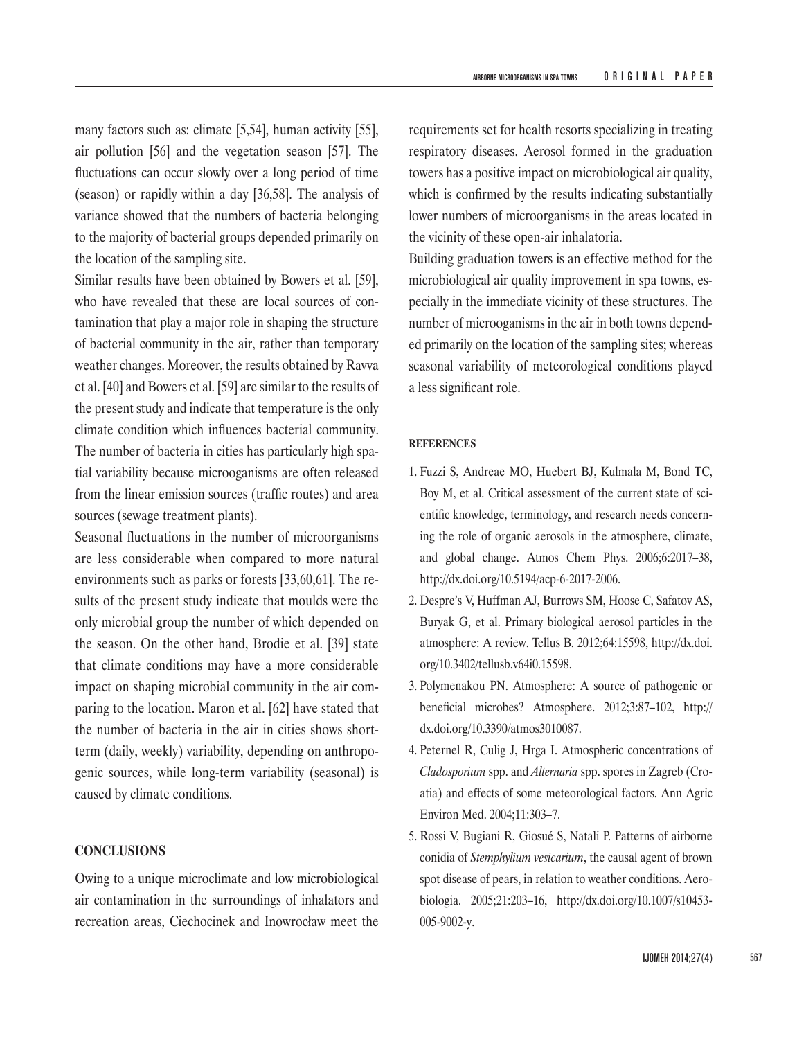many factors such as: climate [5,54], human activity [55], air pollution [56] and the vegetation season [57]. The fluctuations can occur slowly over a long period of time (season) or rapidly within a day [36,58]. The analysis of variance showed that the numbers of bacteria belonging to the majority of bacterial groups depended primarily on the location of the sampling site.

Similar results have been obtained by Bowers et al. [59], who have revealed that these are local sources of contamination that play a major role in shaping the structure of bacterial community in the air, rather than temporary weather changes. Moreover, the results obtained by Ravva et al. [40] and Bowers et al. [59] are similar to the results of the present study and indicate that temperature is the only climate condition which influences bacterial community. The number of bacteria in cities has particularly high spatial variability because microoganisms are often released from the linear emission sources (traffic routes) and area sources (sewage treatment plants).

Seasonal fluctuations in the number of microorganisms are less considerable when compared to more natural environments such as parks or forests [33,60,61]. The results of the present study indicate that moulds were the only microbial group the number of which depended on the season. On the other hand, Brodie et al. [39] state that climate conditions may have a more considerable impact on shaping microbial community in the air comparing to the location. Maron et al. [62] have stated that the number of bacteria in the air in cities shows shortterm (daily, weekly) variability, depending on anthropogenic sources, while long-term variability (seasonal) is caused by climate conditions.

## **CONCLUSIONS**

Owing to a unique microclimate and low microbiological air contamination in the surroundings of inhalators and recreation areas, Ciechocinek and Inowrocław meet the

requirements set for health resorts specializing in treating respiratory diseases. Aerosol formed in the graduation towers has a positive impact on microbiological air quality, which is confirmed by the results indicating substantially lower numbers of microorganisms in the areas located in the vicinity of these open-air inhalatoria.

Building graduation towers is an effective method for the microbiological air quality improvement in spa towns, especially in the immediate vicinity of these structures. The number of microoganisms in the air in both towns depended primarily on the location of the sampling sites; whereas seasonal variability of meteorological conditions played a less significant role.

#### **REFERENCES**

- 1. Fuzzi S, Andreae MO, Huebert BJ, Kulmala M, Bond TC, Boy M, et al. Critical assessment of the current state of scientific knowledge, terminology, and research needs concerning the role of organic aerosols in the atmosphere, climate, and global change. Atmos Chem Phys. 2006;6:2017–38, <http://dx.doi.org/10.5194/acp-6-2017-2006>.
- 2. Despre's V, Huffman AJ, Burrows SM, Hoose C, Safatov AS, Buryak G, et al. Primary biological aerosol particles in the atmosphere: A review. Tellus B. 2012;64:15598, [http://dx.doi.](http://dx.doi.org/10.3402/tellusb.v64i0.15598) [org/10.3402/tellusb.v64i0.15598](http://dx.doi.org/10.3402/tellusb.v64i0.15598).
- 3. Polymenakou PN. Atmosphere: A source of pathogenic or beneficial microbes? Atmosphere. 2012;3:87–102, [http://](http://dx.doi.org/10.3390/atmos3010087) [dx.doi.org/10.3390/atmos3010087.](http://dx.doi.org/10.3390/atmos3010087)
- 4. Peternel R, Culig J, Hrga I. Atmospheric concentrations of *Cladosporium* spp. and *Alternaria* spp. spores in Zagreb (Croatia) and effects of some meteorological factors. Ann Agric Environ Med. 2004;11:303–7.
- 5. Rossi V, Bugiani R, Giosué S, Natali P. Patterns of airborne conidia of *Stemphylium vesicarium*, the causal agent of brown spot disease of pears, in relation to weather conditions. Aerobiologia. 2005;21:203–16, [http://dx.doi.org/10.1007/s10453-](http://dx.doi.org/10.1007/s10453-005-9002-y)[005-9002-y.](http://dx.doi.org/10.1007/s10453-005-9002-y)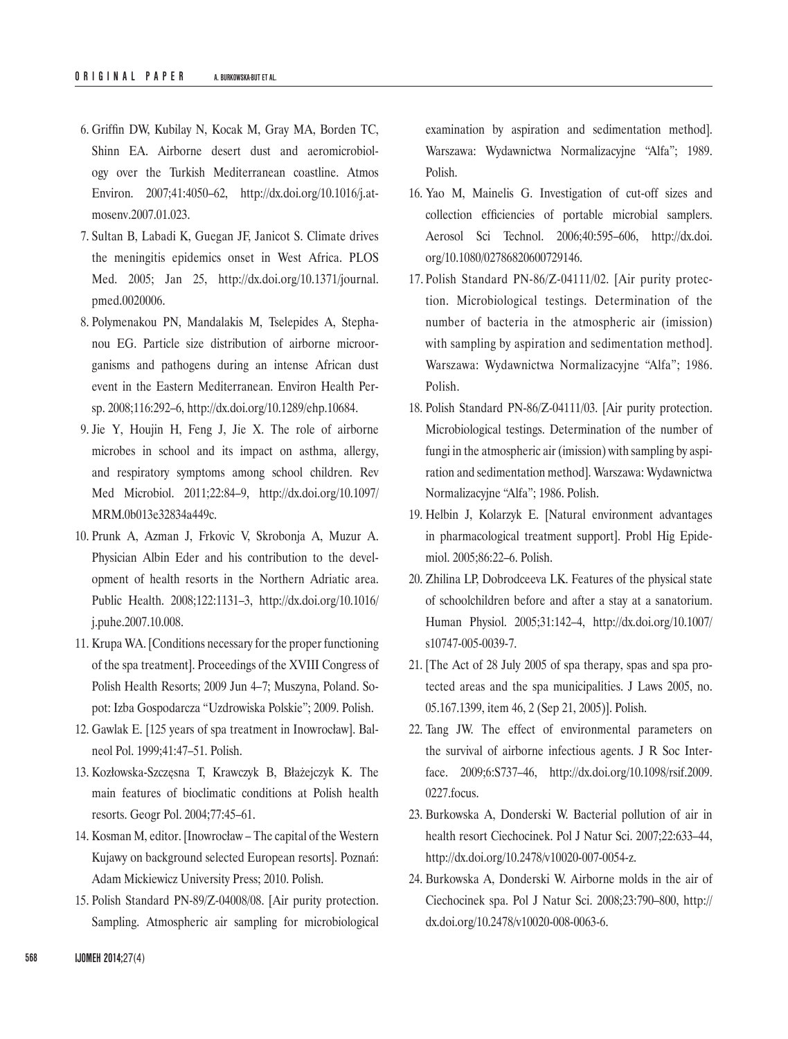- 6. Griffin DW, Kubilay N, Kocak M, Gray MA, Borden TC, Shinn EA. Airborne desert dust and aeromicrobiology over the Turkish Mediterranean coastline. Atmos Environ. 2007;41:4050–62, [http://dx.doi.org/10.1016/j.at](http://dx.doi.org/10.1016/j.atmosenv.2007.01.023)[mosenv.2007.01.023.](http://dx.doi.org/10.1016/j.atmosenv.2007.01.023)
- 7. Sultan B, Labadi K, Guegan JF, Janicot S. Climate drives the meningitis epidemics onset in West Africa. PLOS Med. 2005; Jan 25, [http://dx.doi.org/10.1371/journal.](http://dx.doi.org/10.1371/journal.pmed.0020006) [pmed.0020006.](http://dx.doi.org/10.1371/journal.pmed.0020006)
- 8. Polymenakou PN, Mandalakis M, Tselepides A, Stephanou EG. Particle size distribution of airborne microorganisms and pathogens during an intense African dust event in the Eastern Mediterranean. Environ Health Persp. 2008;116:292–6, [http://dx.doi.org/10.1289/ehp.10684.](http://dx.doi.org/10.1289/ehp.10684)
- 9. Jie Y, Houjin H, Feng J, Jie X. The role of airborne microbes in school and its impact on asthma, allergy, and respiratory symptoms among school children. Rev Med Microbiol. 2011;22:84–9, [http://dx.doi.org/10.1097/](http://dx.doi.org/10.1097/MRM.0b013e32834a449c) [MRM.0b013e32834a449c.](http://dx.doi.org/10.1097/MRM.0b013e32834a449c)
- 10. Prunk A, Azman J, Frkovic V, Skrobonja A, Muzur A. Physician Albin Eder and his contribution to the development of health resorts in the Northern Adriatic area. Public Health. 2008;122:1131–3, [http://dx.doi.org/10.1016/](http://dx.doi.org/10.1016/j.puhe.2007.10.008) [j.puhe.2007.10.008.](http://dx.doi.org/10.1016/j.puhe.2007.10.008)
- 11. Krupa WA. [Conditions necessary for the proper functioning of the spa treatment]. Proceedings of the XVIII Congress of Polish Health Resorts; 2009 Jun 4–7; Muszyna, Poland. Sopot: Izba Gospodarcza "Uzdrowiska Polskie"; 2009. Polish.
- 12. Gawlak E. [125 years of spa treatment in Inowrocław]. Balneol Pol. 1999;41:47–51. Polish.
- 13. Kozłowska-Szczęsna T, Krawczyk B, Błażejczyk K. The main features of bioclimatic conditions at Polish health resorts. Geogr Pol. 2004;77:45–61.
- 14. Kosman M, editor. [Inowrocław The capital of the Western Kujawy on background selected European resorts]. Poznań: Adam Mickiewicz University Press; 2010. Polish.
- 15. Polish Standard PN-89/Z-04008/08. [Air purity protection. Sampling. Atmospheric air sampling for microbiological

examination by aspiration and sedimentation method]. Warszawa: Wydawnictwa Normalizacyjne "Alfa"; 1989. Polish.

- 16. Yao M, Mainelis G. Investigation of cut-off sizes and collection efficiencies of portable microbial samplers. Aerosol Sci Technol. 2006;40:595–606, [http://dx.doi.](http://dx.doi.org/10.1080/02786820600729146) [org/10.1080/02786820600729146](http://dx.doi.org/10.1080/02786820600729146).
- 17. Polish Standard PN-86/Z-04111/02. [Air purity protection. Microbiological testings. Determination of the number of bacteria in the atmospheric air (imission) with sampling by aspiration and sedimentation method]. Warszawa: Wydawnictwa Normalizacyjne "Alfa"; 1986. Polish.
- 18. Polish Standard PN-86/Z-04111/03. [Air purity protection. Microbiological testings. Determination of the number of fungi in the atmospheric air (imission) with sampling by aspiration and sedimentation method]. Warszawa: Wydawnictwa Normalizacyjne "Alfa"; 1986. Polish.
- 19. Helbin J, Kolarzyk E. [Natural environment advantages in pharmacological treatment support]. Probl Hig Epidemiol. 2005;86:22–6. Polish.
- 20. Zhilina LP, Dobrodceeva LK. Features of the physical state of schoolchildren before and after a stay at a sanatorium. Human Physiol. 2005;31:142–4, [http://dx.doi.org/10.1007/](http://dx.doi.org/10.1007/s10747-005-0039-7) [s10747-005-0039-7.](http://dx.doi.org/10.1007/s10747-005-0039-7)
- 21. [The Act of 28 July 2005 of spa therapy, spas and spa protected areas and the spa municipalities. J Laws 2005, no. 05.167.1399, item 46, 2 (Sep 21, 2005)]. Polish.
- 22. Tang JW. The effect of environmental parameters on the survival of airborne infectious agents. J R Soc Interface. 2009;6:S737–46, [http://dx.doi.org/10.1098/rsif.2009.](http://dx.doi.org/10.1098/rsif.2009.0227.focus)  [0227.focus.](http://dx.doi.org/10.1098/rsif.2009.0227.focus)
- 23. Burkowska A, Donderski W. Bacterial pollution of air in health resort Ciechocinek. Pol J Natur Sci. 2007;22:633–44, <http://dx.doi.org/10.2478/v10020-007-0054-z>.
- 24. Burkowska A, Donderski W. Airborne molds in the air of Ciechocinek spa. Pol J Natur Sci. 2008;23:790–800, [http://](http://dx.doi.org/10.2478/v10020-008-0063-6) [dx.doi.org/10.2478/v10020-008-0063-6.](http://dx.doi.org/10.2478/v10020-008-0063-6)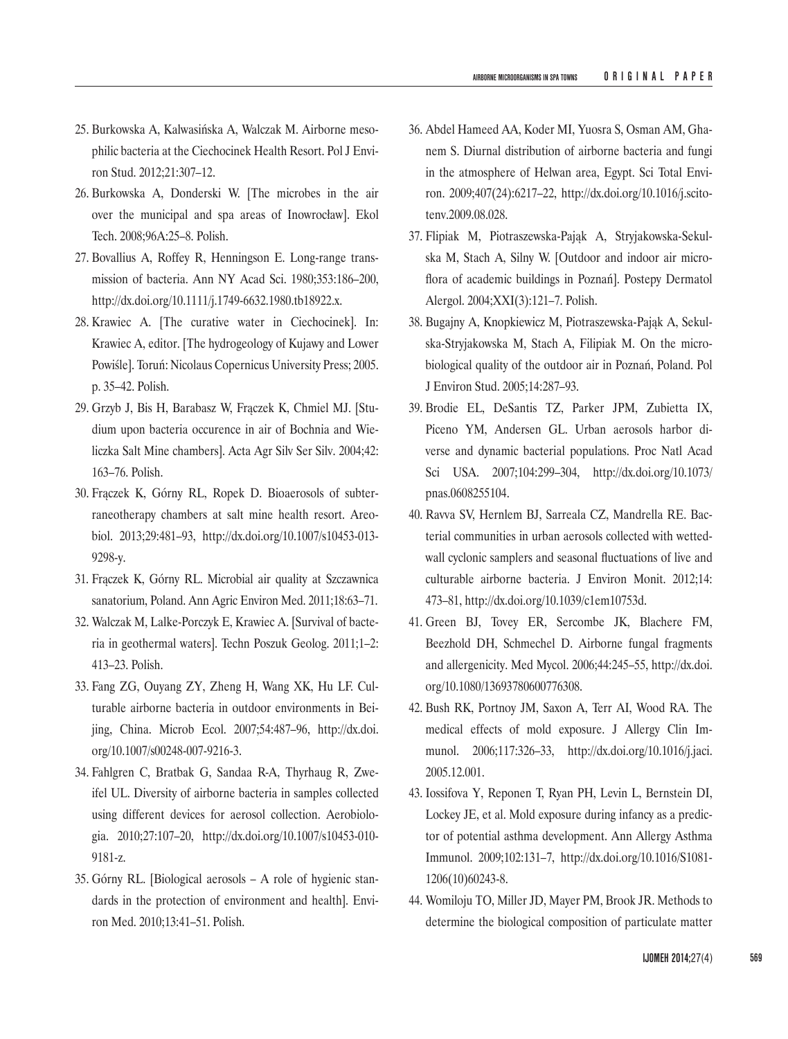- 25. Burkowska A, Kalwasińska A, Walczak M. Airborne mesophilic bacteria at the Ciechocinek Health Resort. Pol J Environ Stud. 2012;21:307–12.
- 26. Burkowska A, Donderski W. [The microbes in the air over the municipal and spa areas of Inowrocław]. Ekol Tech. 2008;96A:25–8. Polish.
- 27. Bovallius A, Roffey R, Henningson E. Long-range transmission of bacteria. Ann NY Acad Sci. 1980;353:186–200, [http://dx.doi.org/10.1111/j.1749-6632.1980.tb18922.x.](http://dx.doi.org/10.1111/j.1749-6632.1980.tb18922.x)
- 28. Krawiec A. [The curative water in Ciechocinek]. In: Krawiec A, editor. [The hydrogeology of Kujawy and Lower Powiśle]. Toruń: Nicolaus Copernicus University Press; 2005. p. 35–42. Polish.
- 29. Grzyb J, Bis H, Barabasz W, Frączek K, Chmiel MJ. [Studium upon bacteria occurence in air of Bochnia and Wieliczka Salt Mine chambers]. Acta Agr Silv Ser Silv. 2004;42: 163–76. Polish.
- 30. Frączek K, Górny RL, Ropek D. Bioaerosols of subterraneotherapy chambers at salt mine health resort. Areobiol. 2013;29:481–93, [http://dx.doi.org/10.1007/s10453-013-](http://dx.doi.org/10.1007/s10453-013-9298-y)[9298-y](http://dx.doi.org/10.1007/s10453-013-9298-y).
- 31. Frączek K, Górny RL. Microbial air quality at Szczawnica sanatorium, Poland. Ann Agric Environ Med. 2011;18:63–71.
- 32. Walczak M, Lalke-Porczyk E, Krawiec A. [Survival of bacteria in geothermal waters]. Techn Poszuk Geolog. 2011;1–2: 413–23. Polish.
- 33. Fang ZG, Ouyang ZY, Zheng H, Wang XK, Hu LF. Culturable airborne bacteria in outdoor environments in Beijing, China. Microb Ecol. 2007;54:487–96, [http://dx.doi.](http://dx.doi.org/10.1007/s00248-007-9216-3) [org/10.1007/s00248-007-9216-3.](http://dx.doi.org/10.1007/s00248-007-9216-3)
- 34. Fahlgren C, Bratbak G, Sandaa R-A, Thyrhaug R, Zweifel UL. Diversity of airborne bacteria in samples collected using different devices for aerosol collection. Aerobiologia. 2010;27:107–20, [http://dx.doi.org/10.1007/s10453-010-](http://dx.doi.org/10.1007/s10453-010-9181-z)[9181-z.](http://dx.doi.org/10.1007/s10453-010-9181-z)
- 35. Górny RL. [Biological aerosols A role of hygienic standards in the protection of environment and health]. Environ Med. 2010;13:41–51. Polish.
- 36. Abdel Hameed AA, Koder MI, Yuosra S, Osman AM, Ghanem S. Diurnal distribution of airborne bacteria and fungi in the atmosphere of Helwan area, Egypt. Sci Total Environ. 2009;407(24):6217–22, [http://dx.doi.org/10.1016/j.scito](http://dx.doi.org/10.1016/j.scitotenv.2009.08.028)[tenv.2009.08.028.](http://dx.doi.org/10.1016/j.scitotenv.2009.08.028)
- 37. Flipiak M, Piotraszewska‑Pająk A, Stryjakowska‑Sekulska M, Stach A, Silny W. [Outdoor and indoor air microflora of academic buildings in Poznań]. Postepy Dermatol Alergol. 2004;XXI(3):121–7. Polish.
- 38. Bugajny A, Knopkiewicz M, Piotraszewska-Pająk A, Sekulska-Stryjakowska M, Stach A, Filipiak M. On the microbiological quality of the outdoor air in Poznań, Poland. Pol J Environ Stud. 2005;14:287–93.
- 39. Brodie EL, DeSantis TZ, Parker JPM, Zubietta IX, Piceno YM, Andersen GL. Urban aerosols harbor diverse and dynamic bacterial populations. Proc Natl Acad Sci USA. 2007;104:299–304, [http://dx.doi.org/10.1073/](http://dx.doi.org/10.1073/pnas.0608255104) [pnas.0608255104](http://dx.doi.org/10.1073/pnas.0608255104).
- 40. Ravva SV, Hernlem BJ, Sarreala CZ, Mandrella RE. Bacterial communities in urban aerosols collected with wettedwall cyclonic samplers and seasonal fluctuations of live and culturable airborne bacteria. J Environ Monit. 2012;14: 473–81, [http://dx.doi.org/10.1039/c1em10753d.](http://dx.doi.org/10.1039/c1em10753d)
- 41. Green BJ, Tovey ER, Sercombe JK, Blachere FM, Beezhold DH, Schmechel D. Airborne fungal fragments and allergenicity. Med Mycol. 2006;44:245–55, [http://dx.doi.](http://dx.doi.org/10.1080/13693780600776308) [org/10.1080/13693780600776308](http://dx.doi.org/10.1080/13693780600776308).
- 42. Bush RK, Portnoy JM, Saxon A, Terr AI, Wood RA. The medical effects of mold exposure. J Allergy Clin Immunol. 2006;117:326–33, [http://dx.doi.org/10.1016/j.jaci.](http://dx.doi.org/10.1016/j.jaci.2005.12.001)  [2005.12.001](http://dx.doi.org/10.1016/j.jaci.2005.12.001).
- 43. Iossifova Y, Reponen T, Ryan PH, Levin L, Bernstein DI, Lockey JE, et al. Mold exposure during infancy as a predictor of potential asthma development. Ann Allergy Asthma Immunol. 2009;102:131–7, [http://dx.doi.org/10.1016/S1081-](http://dx.doi.org/10.1016/S1081-1206(10)60243-8)[1206\(10\)60243-8](http://dx.doi.org/10.1016/S1081-1206(10)60243-8).
- 44. Womiloju TO, Miller JD, Mayer PM, Brook JR. Methods to determine the biological composition of particulate matter